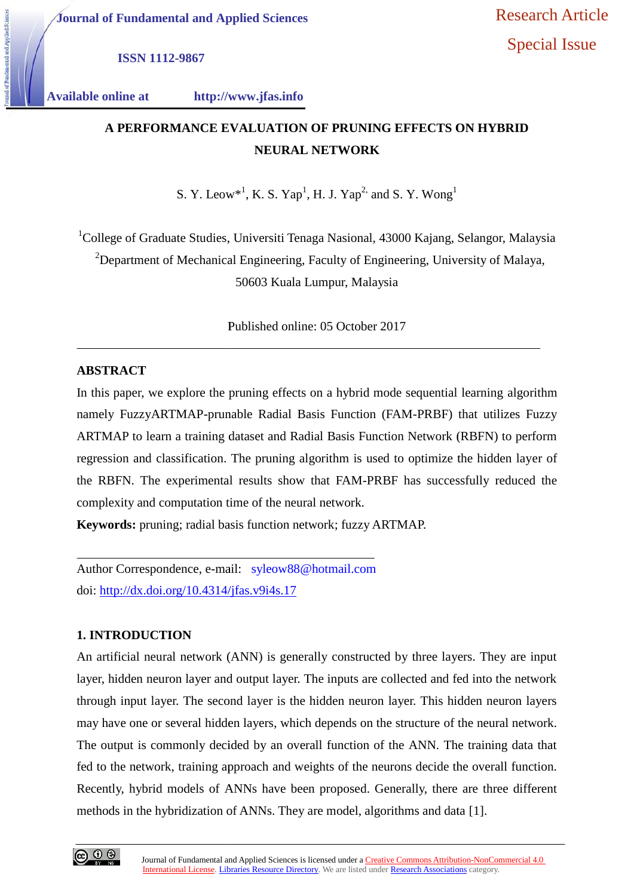**ISSN 1112-9867**

tal and Applied Sci

**Available online at http://www.jfas.info**

# **A PERFORMANCE EVALUATION OF PRUNING EFFECTS ON HYBRID A NEURAL NETWORKNEURAL NETWORK**

S. Y. Leow\*<sup>1</sup>, K. S. Yap<sup>1</sup>, H. J. Yap<sup>2,</sup> and S. Y. Wong<sup>1</sup>

<sup>1</sup>College of Graduate Studies, Universiti Tenaga Nasional, 43000 Kajang, Selangor, Malaysia <sup>2</sup>Department of Mechanical Engineering, Faculty of Engineering, University of Malaya,

50603 Kuala Lumpur, Malaysia

Published online: 05 October 2017

## **ABSTRACT**

In this paper, we explore the pruning effects on a hybrid mode sequential learning algorithm namely FuzzyARTMAP-prunable Radial Basis Function (FAM-PRBF) that utilizes Fuzzy ARTMAP to learn a training dataset and Radial Basis Function Network (RBFN) to perform regression and classification. The pruning algorithm is used to optimize the hidden layer of the RBFN. The experimental results show that FAM-PRBF has successfully reduced the complexity and computation time of the neural network. <sup>1</sup>College of Graduate Studies, Universiti Tenaga Nasional, 43000 Kajang, Selangor, Malaysia<br>
<sup>2</sup> Department of Mechanical Engineering, Faculty of Engineering, University of Malaya,<br>
50603 Kuala Lumpur, Malaysia<br>
Published

**Keywords:** pruning; radial basis function network; fuzzy ARTMAP.

Author Correspondence, e-mail: syleow88@hotmail.com doi: http://dx.doi.org/10.4314/jfas.v9i4s.17

# **1. INTRODUCTION**

An artificial neural network (ANN) is generally constructed by three layers. They are input layer, hidden neuron layer and output layer. The inputs are collected and fed into the network through input layer. The second layer is the hidden neuron layer. This hidden neuron layers may have one or several hidden layers, which depends on the structure of the neural network. The output is commonly decided by an overall function of the ANN. The training data that fed to the network, training approach and weights of the neurons decide the overall function. Recently, hybrid models of ANNs have been proposed. Generally, there are three different methods in the hybridization of ANNs. They are model, algorithms and data [1]. An artificial neural network (ANN) is generally constructed by three layers. They are input<br>layer, hidden neuron layer and output layer. The inputs are collected and fed into the network<br>through input layer. The second lay **EVALUATION OF PRUNING EFFECTS ON H**<br> **NEURAL NETWORK**<br> **NEURAL NETWORK**<br>  $w^*$ <sup>1</sup>, **K**. **S**. Yap<sup>1</sup>, **H**. J. Yap<sup>2</sup> and S. Y. Wong<sup>1</sup><br> **1.** Universiti Tenaga Nasional, 43000 Kajang, Selan<br>
al Engineering, Faculty of Engi have one or several hidden layers, which depends on the structure of the neur<br>output is commonly decided by an overall function of the ANN. The trainin<br>o the network, training approach and weights of the neurons decide the

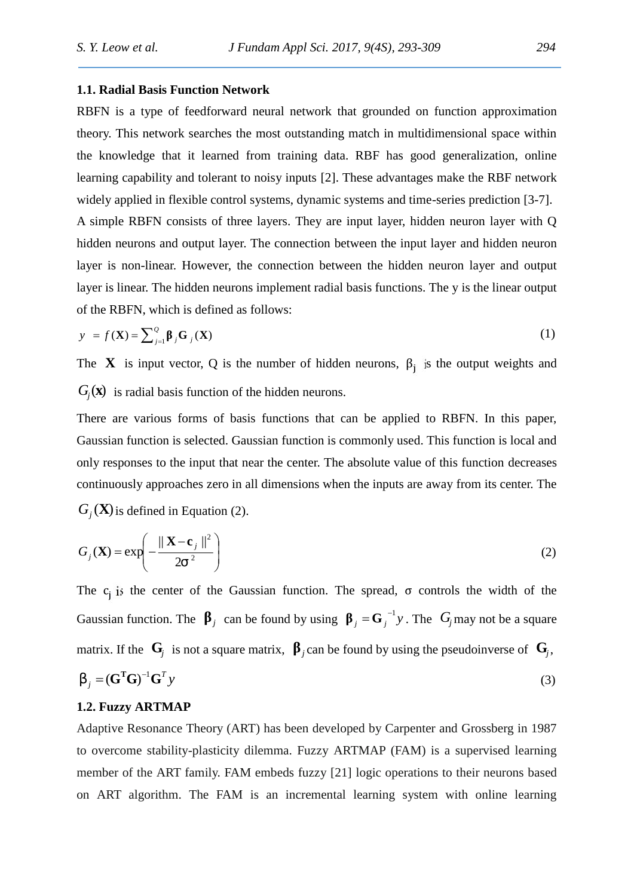#### **1.1. Radial Basis Function Network**

RBFN is a type of feedforward neural network that grounded on function approximation theory. This network searches the most outstanding match in multidimensional space within the knowledge that it learned from training data. RBF has good generalization, online learning capability and tolerant to noisy inputs [2]. These advantages make the RBF network widely applied in flexible control systems, dynamic systems and time-series prediction [3-7]. A simple RBFN consists of three layers. They are input layer, hidden neuron layer with Q hidden neurons and output layer. The connection between the input layer and hidden neuron layer is non-linear. However, the connection between the hidden neuron layer and output layer is linear. The hidden neurons implement radial basis functions. The y is the linear output of the RBFN, which is defined as follows:

$$
y = f(\mathbf{X}) = \sum_{j=1}^{Q} \, j\mathbf{G} \, j(\mathbf{X}) \tag{1}
$$

The **X** is input vector, Q is the number of hidden neurons,  $\beta_j$  is the output weights and  $G_j(\mathbf{x})$  is radial basis function of the hidden neurons.

There are various forms of basis functions that can be applied to RBFN. In this paper, Gaussian function is selected. Gaussian function is commonly used. This function is local and only responses to the input that near the center. The absolute value of this function decreases continuously approaches zero in all dimensions when the inputs are away from its center. The  $G_j(\mathbf{X})$  is defined in Equation (2).

$$
G_j(\mathbf{X}) = \exp\left(-\frac{\|\mathbf{X} - \mathbf{c}_j\|^2}{2\tau^2}\right)
$$
 (2)

The c<sub>i</sub> is the center of the Gaussian function. The spread,  $\sigma$  controls the width of the Gaussian function. The *j* can be found by using  $j = G_j^{-1}y$ . The  $G_j$  may not be a square matrix. If the  $\mathbf{G}_j$  is not a square matrix, *j*can be found by using the pseudoinverse of  $\mathbf{G}_j$ , *y*  $S_j = (G^T G)^{-1} G^T y$  (3)

### **1.2. Fuzzy ARTMAP**

Adaptive Resonance Theory (ART) has been developed by Carpenter and Grossberg in 1987 to overcome stability-plasticity dilemma. Fuzzy ARTMAP (FAM) is a supervised learning member of the ART family. FAM embeds fuzzy [21] logic operations to their neurons based on ART algorithm. The FAM is an incremental learning system with online learning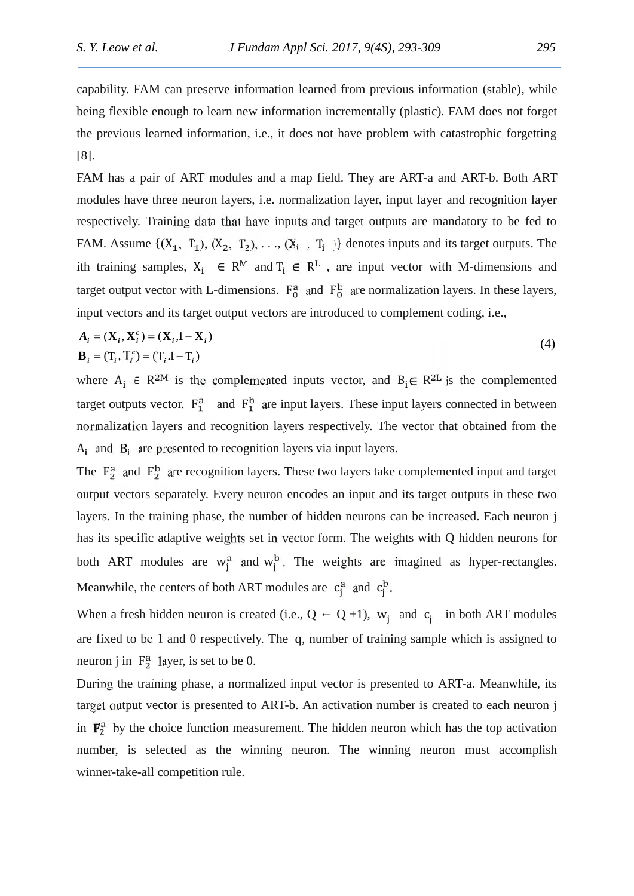capability. FAM can preserve information learned from previous information (stable), while being flexible enough to learn new information incrementally (plastic). FAM does not forget the previous learned information, i.e., it does not have problem with catastrophic forgetting [8].

FAM has a pair of ART modules and a map field. They are ART-a and ART-b. Both ART modules have three neuron layers, i.e. normalization layer, input layer and recognition layer respectively. Training data that have inputs and target outputs are mandatory to be fed to FAM. Assume  $\{(X_1, T_1), (X_2, T_2), \ldots, (X_i, T_i)\}\$  denotes inputs and its target outputs. The ith training samples,  $X_i \in \mathbb{R}^{\mathbb{M}}$  and  $T_i \in \mathbb{R}^{\mathbb{L}}$ , are input vector with M-dimensions and target output vector with L-dimensions.  $F_0^a$  and  $F_0^b$  are normalization layers. In these layers, input vectors and its target output vectors are introduced to complement coding, i.e.,

$$
A_i = (\mathbf{X}_i, \mathbf{X}_i^c) = (\mathbf{X}_i, \mathbf{I} - \mathbf{X}_i)
$$
  
\n
$$
\mathbf{B}_i = (\mathbf{T}_i, \mathbf{T}_i^c) = (\mathbf{T}_i, \mathbf{I} - \mathbf{T}_i)
$$
\n(4)

where  $A_i \in R^{2M}$  is the complemented inputs vector, and  $B_i \in R^{2L}$  is the complemented target outputs vector.  $F_1^a$  and  $F_1^b$  are input layers. These input layers connected in between normalization layers and recognition layers respectively. The vector that obtained from the  $A_i$  and  $B_i$  are presented to recognition layers via input layers.

The  $F_2^a$  and  $F_2^b$  are recognition layers. These two layers take complemented input and target output vectors separately. Every neuron encodes an input and its target outputs in these two layers. In the training phase, the number of hidden neurons can be increased. Each neuron j has its specific adaptive weights set in vector form. The weights with Q hidden neurons for both ART modules are  $w_i^a$  and  $w_i^b$ . The weights are imagined as hyper-rectangles. Meanwhile, the centers of both ART modules are  $c_j^a$  and  $c_j^b$ .

When a fresh hidden neuron is created (i.e.,  $Q$  Q +1),  $w_i$  and  $c_i$  in both ART modules are fixed to be 1 and 0 respectively. The q, number of training sample which is assigned to neuron j in  $F_2^a$  layer, is set to be 0.

During the training phase, a normalized input vector is presented to ART-a. Meanwhile, its target output vector is presented to ART-b. An activation number is created to each neuron j in  $\mathbf{F}_2^a$  by the choice function measurement. The hidden neuron which has the top activation number, is selected as the winning neuron. The winning neuron must accomplish winner-take-all competition rule.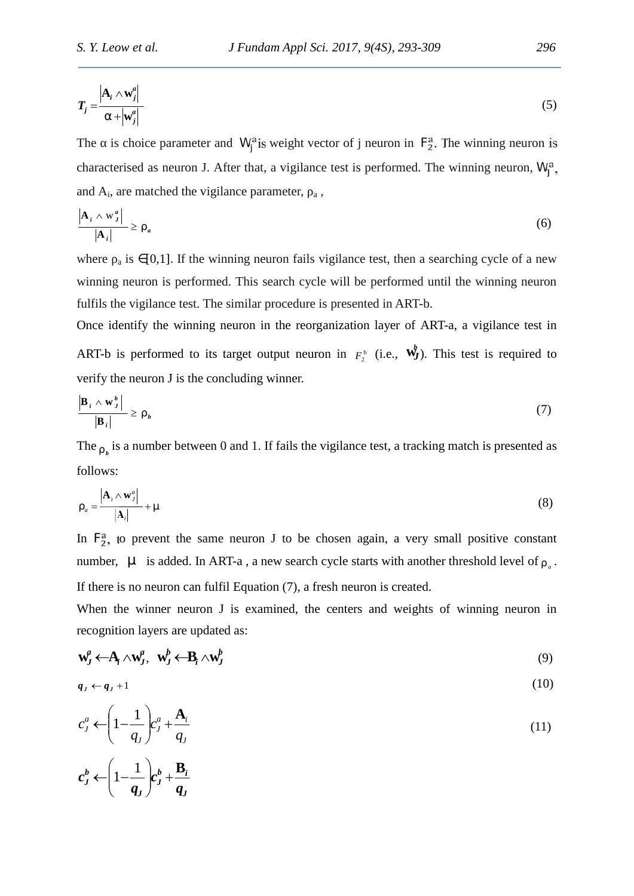$$
T_j = \frac{\left| \mathbf{A}_i \wedge \mathbf{w}_j^a \right|}{\Gamma + \left| \mathbf{w}_j^a \right|} \tag{5}
$$

The is choice parameter and W<sub>i</sub> is weight vector of j neuron in  $F_2^a$ . The winning neuron is characterised as neuron J. After that, a vigilance test is performed. The winning neuron,  $W_I^a$ , and  $A_i$ , are matched the vigilance parameter,  $\alpha_i$ ,

$$
\frac{\left|\mathbf{A}_{i} \wedge \mathbf{w}_{j}^{a}\right|}{\left|\mathbf{A}_{i}\right|} \geq \dots_{a} \tag{6}
$$

where  $\alpha$  is [0,1]. If the winning neuron fails vigilance test, then a searching cycle of a new winning neuron is performed. This search cycle will be performed until the winning neuron fulfils the vigilance test. The similar procedure is presented in ART-b.

Once identify the winning neuron in the reorganization layer of ART-a, a vigilance test in ART-b is performed to its target output neuron in  $F_2^b$  (i.e.,  $\mathbf{w}_J^b$ ). This test is required to verify the neuron J is the concluding winner.

$$
\frac{\left|\mathbf{B}_{i} \wedge \mathbf{w}_{j}^{b}\right|}{\left|\mathbf{B}_{i}\right|} \geq ..._{b}
$$
\n(7)

The  $\mathbf{p}_{\mu}$  is a number between 0 and 1. If fails the vigilance test, a tracking match is presented as follows:

$$
..._{a} = \frac{\left|\mathbf{A}_{i} \wedge \mathbf{w}_{j}^{a}\right|}{\left|\mathbf{A}_{i}\right|} + \cdots \tag{8}
$$

In  $F_2^a$ , to prevent the same neuron J to be chosen again, a very small positive constant number,  $\sim$  is added. In ART-a, a new search cycle starts with another threshold level of  $\alpha_{a}$ . If there is no neuron can fulfil Equation (7), a fresh neuron is created.

When the winner neuron J is examined, the centers and weights of winning neuron in recognition layers are updated as:

$$
\mathbf{w}_J^a \leftarrow \mathbf{A}_i \wedge \mathbf{w}_J^a, \quad \mathbf{w}_J^b \leftarrow \mathbf{B}_i \wedge \mathbf{w}_J^b \tag{9}
$$

$$
q_j \leftarrow q_j + 1 \tag{10}
$$

$$
c_j^a \leftarrow \left(1 - \frac{1}{q_j}\right) c_j^a + \frac{\mathbf{A}_i}{q_j} \tag{11}
$$

$$
c_J^b \leftarrow \left(1 - \frac{1}{q_J}\right) c_J^b + \frac{\mathbf{B}_i}{q_J}
$$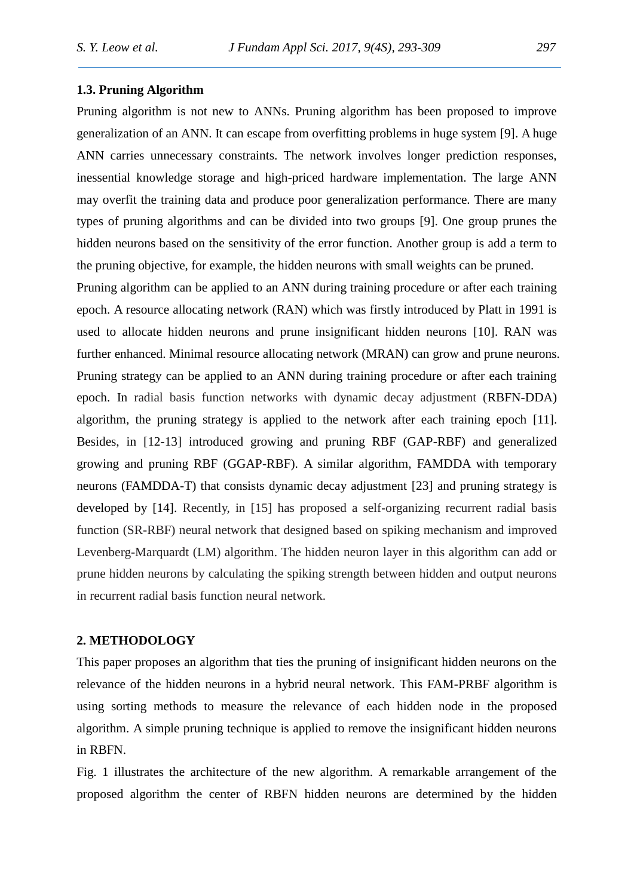#### **1.3. Pruning Algorithm**

Pruning algorithm is not new to ANNs. Pruning algorithm has been proposed to improve generalization of an ANN. It can escape from overfitting problems in huge system [9]. A huge ANN carries unnecessary constraints. The network involves longer prediction responses, inessential knowledge storage and high-priced hardware implementation. The large ANN may overfit the training data and produce poor generalization performance. There are many types of pruning algorithms and can be divided into two groups [9]. One group prunes the hidden neurons based on the sensitivity of the error function. Another group is add a term to the pruning objective, for example, the hidden neurons with small weights can be pruned.

Pruning algorithm can be applied to an ANN during training procedure or after each training epoch. A resource allocating network (RAN) which was firstly introduced by Platt in 1991 is used to allocate hidden neurons and prune insignificant hidden neurons [10]. RAN was further enhanced. Minimal resource allocating network (MRAN) can grow and prune neurons. Pruning strategy can be applied to an ANN during training procedure or after each training epoch. In radial basis function networks with dynamic decay adjustment (RBFN-DDA) algorithm, the pruning strategy is applied to the network after each training epoch [11]. Besides, in [12-13] introduced growing and pruning RBF (GAP-RBF) and generalized growing and pruning RBF (GGAP-RBF). A similar algorithm, FAMDDA with temporary neurons (FAMDDA-T) that consists dynamic decay adjustment [23] and pruning strategy is developed by [14]. Recently, in [15] has proposed a self-organizing recurrent radial basis function (SR-RBF) neural network that designed based on spiking mechanism and improved Levenberg-Marquardt (LM) algorithm. The hidden neuron layer in this algorithm can add or prune hidden neurons by calculating the spiking strength between hidden and output neurons in recurrent radial basis function neural network.

#### **2. METHODOLOGY**

This paper proposes an algorithm that ties the pruning of insignificant hidden neurons on the relevance of the hidden neurons in a hybrid neural network. This FAM-PRBF algorithm is using sorting methods to measure the relevance of each hidden node in the proposed algorithm. A simple pruning technique is applied to remove the insignificant hidden neurons in RBFN.

Fig. 1 illustrates the architecture of the new algorithm. A remarkable arrangement of the proposed algorithm the center of RBFN hidden neurons are determined by the hidden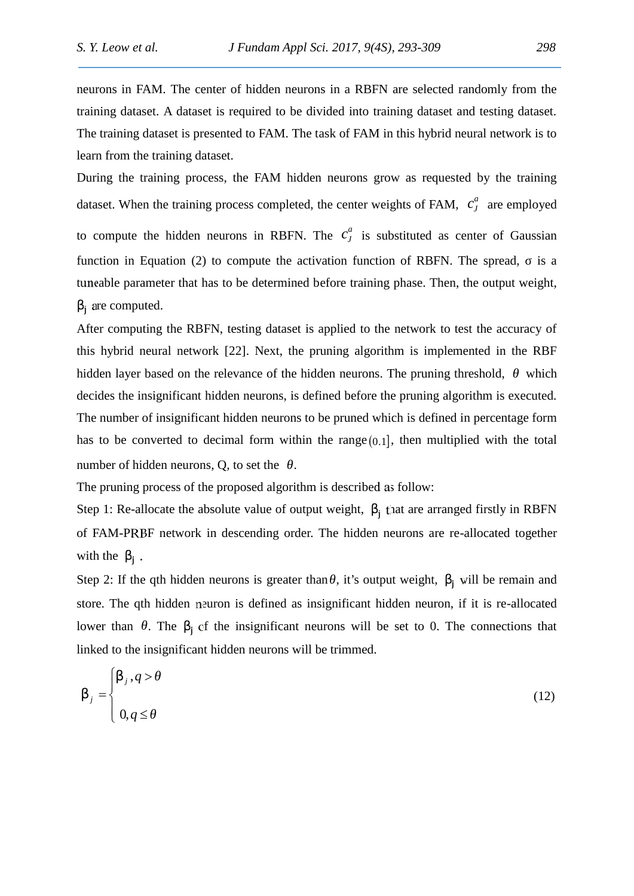neurons in FAM. The center of hidden neurons in a RBFN are selected randomly from the training dataset. A dataset is required to be divided into training dataset and testing dataset. The training dataset is presented to FAM. The task of FAM in this hybrid neural network is to learn from the training dataset.

During the training process, the FAM hidden neurons grow as requested by the training dataset. When the training process completed, the center weights of FAM,  $c_j^a$  are employed to compute the hidden neurons in RBFN. The  $c_j^a$  is substituted as center of Gaussian function in Equation (2) to compute the activation function of RBFN. The spread, is a tuneable parameter that has to be determined before training phase. Then, the output weight, i are computed.

After computing the RBFN, testing dataset is applied to the network to test the accuracy of this hybrid neural network [22]. Next, the pruning algorithm is implemented in the RBF hidden layer based on the relevance of the hidden neurons. The pruning threshold, which decides the insignificant hidden neurons, is defined before the pruning algorithm is executed. The number of insignificant hidden neurons to be pruned which is defined in percentage form has to be converted to decimal form within the range  $(0,1]$ , then multiplied with the total number of hidden neurons,  $Q$ , to set the  $\cdot$ .<br>The pruning process of the proposed algorithm is described as follow:

Step 1: Re-allocate the absolute value of output weight,  $\frac{1}{1}$  that are arranged firstly in RBFN of FAM-PRBF network in descending order. The hidden neurons are re-allocated together with the  $\mathbf{i}$ .

Step 2: If the qth hidden neurons is greater than, it's output weight,  $\frac{1}{1}$  will be remain and store. The qth hidden neuron is defined as insignificant hidden neuron, if it is re-allocated lower than  $\cdot$ . The  $\cdot$  of the insignificant neurons will be set to 0. The connections that linked to the insignificant hidden neurons will be trimmed.

$$
S_j = \begin{cases} S_j, q > \\ 0, q \leq 1 \end{cases} \tag{12}
$$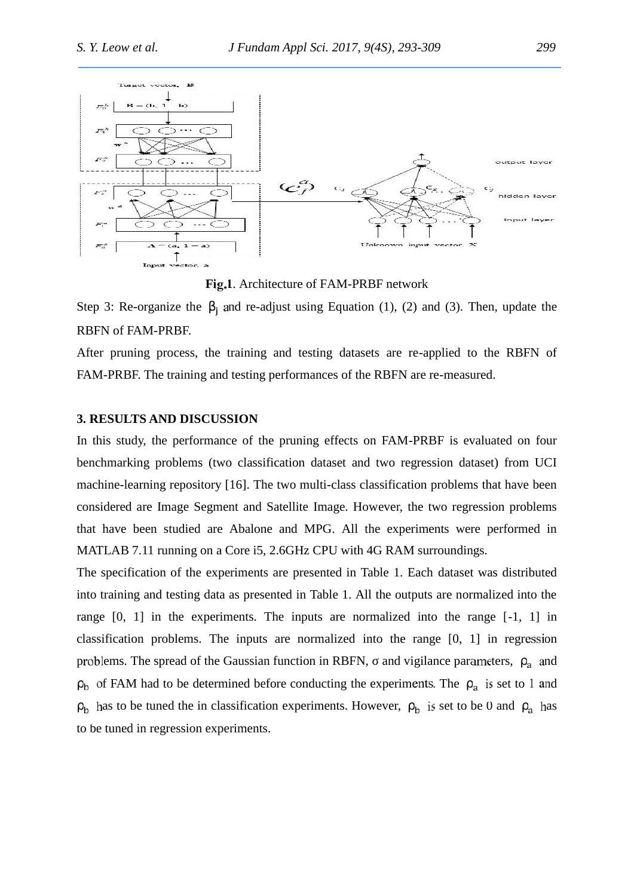

**Fig.1**. Architecture of FAM-PRBF network

Step 3: Re-organize the  $\frac{1}{1}$  and re-adjust using Equation (1), (2) and (3). Then, update the RBFN of FAM-PRBF.

After pruning process, the training and testing datasets are re-applied to the RBFN of FAM-PRBF. The training and testing performances of the RBFN are re-measured.

#### **3. RESULTS AND DISCUSSION**

In this study, the performance of the pruning effects on FAM-PRBF is evaluated on four benchmarking problems (two classification dataset and two regression dataset) from UCI machine-learning repository [16]. The two multi-class classification problems that have been considered are Image Segment and Satellite Image. However, the two regression problems that have been studied are Abalone and MPG. All the experiments were performed in MATLAB 7.11 running on a Core i5, 2.6GHz CPU with 4G RAM surroundings.

The specification of the experiments are presented in Table 1. Each dataset was distributed into training and testing data as presented in Table 1. All the outputs are normalized into the range [0, 1] in the experiments. The inputs are normalized into the range [-1, 1] in classification problems. The inputs are normalized into the range [0, 1] in regression problems. The spread of the Gaussian function in RBFN, and vigilance parameters,  $\alpha$  and  $_b$  of FAM had to be determined before conducting the experiments. The  $_a$  is set to 1 and  $h$  has to be tuned the in classification experiments. However,  $h$  is set to be 0 and  $h$  has to be tuned in regression experiments.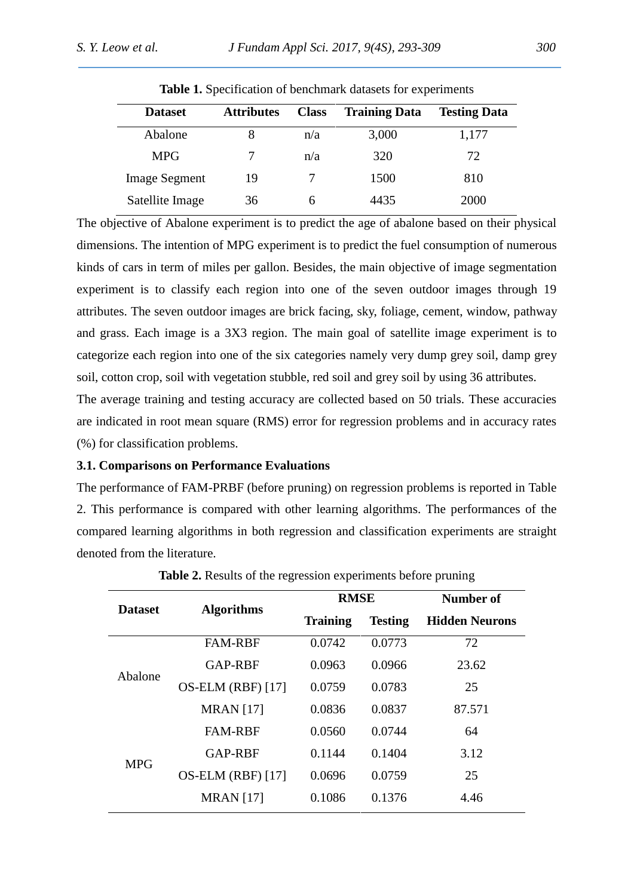| <b>Dataset</b>       | <b>Attributes</b> | <b>Class</b> | <b>Training Data</b> | <b>Testing Data</b> |  |
|----------------------|-------------------|--------------|----------------------|---------------------|--|
| Abalone              | 8                 | n/a          | 3,000                | 1,177               |  |
| <b>MPG</b>           |                   | n/a          | 320                  | 72                  |  |
| <b>Image Segment</b> | 19                |              | 1500                 | 810                 |  |
| Satellite Image      | 36                |              | 4435                 | 2000                |  |

**Table 1.** Specification of benchmark datasets for experiments

The objective of Abalone experiment is to predict the age of abalone based on their physical dimensions. The intention of MPG experiment is to predict the fuel consumption of numerous kinds of cars in term of miles per gallon. Besides, the main objective of image segmentation experiment is to classify each region into one of the seven outdoor images through 19 attributes. The seven outdoor images are brick facing, sky, foliage, cement, window, pathway and grass. Each image is a 3X3 region. The main goal of satellite image experiment is to categorize each region into one of the six categories namely very dump grey soil, damp grey soil, cotton crop, soil with vegetation stubble, red soil and grey soil by using 36 attributes.

The average training and testing accuracy are collected based on 50 trials. These accuracies are indicated in root mean square (RMS) error for regression problems and in accuracy rates (%) for classification problems.

### **3.1. Comparisons on Performance Evaluations**

The performance of FAM-PRBF (before pruning) on regression problems is reported in Table 2. This performance is compared with other learning algorithms. The performances of the compared learning algorithms in both regression and classification experiments are straight denoted from the literature.

| <b>Dataset</b> |                          | <b>RMSE</b>     |                | Number of             |
|----------------|--------------------------|-----------------|----------------|-----------------------|
|                | <b>Algorithms</b>        | <b>Training</b> | <b>Testing</b> | <b>Hidden Neurons</b> |
| Abalone        | <b>FAM-RBF</b>           | 0.0742          | 0.0773         | 72                    |
|                | GAP-RBF                  | 0.0963          | 0.0966         | 23.62                 |
|                | $OS-ELM$ (RBF) [17]      | 0.0759          | 0.0783         | 25                    |
|                | <b>MRAN</b> [17]         | 0.0836          | 0.0837         | 87.571                |
| <b>MPG</b>     | <b>FAM-RBF</b>           | 0.0560          | 0.0744         | 64                    |
|                | <b>GAP-RBF</b>           | 0.1144          | 0.1404         | 3.12                  |
|                | <b>OS-ELM (RBF)</b> [17] | 0.0696          | 0.0759         | 25                    |
|                | <b>MRAN</b> [17]         | 0.1086          | 0.1376         | 4.46                  |

**Table 2.** Results of the regression experiments before pruning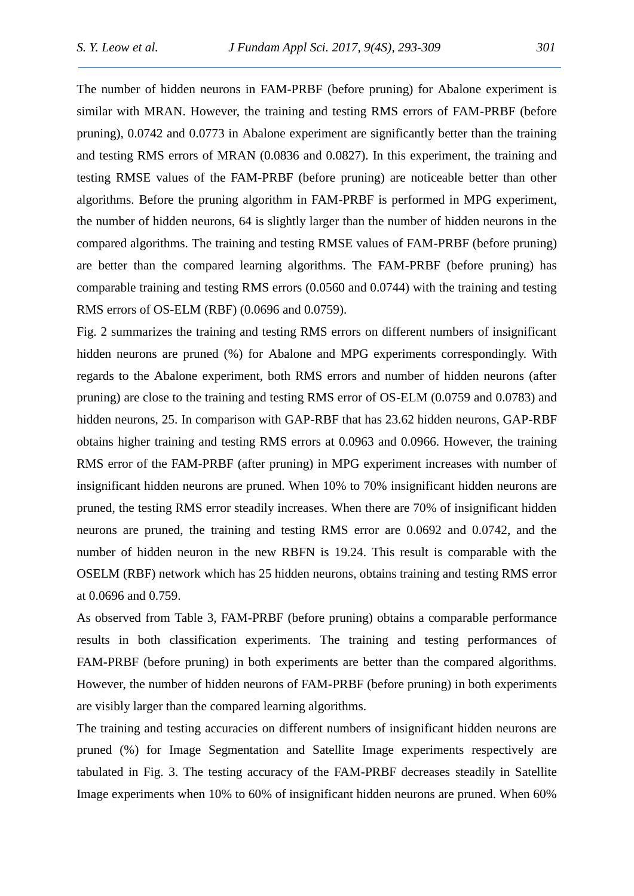The number of hidden neurons in FAM-PRBF (before pruning) for Abalone experiment is similar with MRAN. However, the training and testing RMS errors of FAM-PRBF (before pruning), 0.0742 and 0.0773 in Abalone experiment are significantly better than the training and testing RMS errors of MRAN (0.0836 and 0.0827). In this experiment, the training and testing RMSE values of the FAM-PRBF (before pruning) are noticeable better than other algorithms. Before the pruning algorithm in FAM-PRBF is performed in MPG experiment, the number of hidden neurons, 64 is slightly larger than the number of hidden neurons in the compared algorithms. The training and testing RMSE values of FAM-PRBF (before pruning) are better than the compared learning algorithms. The FAM-PRBF (before pruning) has comparable training and testing RMS errors (0.0560 and 0.0744) with the training and testing RMS errors of OS-ELM (RBF) (0.0696 and 0.0759).

Fig. 2 summarizes the training and testing RMS errors on different numbers of insignificant hidden neurons are pruned (%) for Abalone and MPG experiments correspondingly. With regards to the Abalone experiment, both RMS errors and number of hidden neurons (after pruning) are close to the training and testing RMS error of OS-ELM (0.0759 and 0.0783) and hidden neurons, 25. In comparison with GAP-RBF that has 23.62 hidden neurons, GAP-RBF obtains higher training and testing RMS errors at 0.0963 and 0.0966. However, the training RMS error of the FAM-PRBF (after pruning) in MPG experiment increases with number of insignificant hidden neurons are pruned. When 10% to 70% insignificant hidden neurons are pruned, the testing RMS error steadily increases. When there are 70% of insignificant hidden neurons are pruned, the training and testing RMS error are 0.0692 and 0.0742, and the number of hidden neuron in the new RBFN is 19.24. This result is comparable with the OSELM (RBF) network which has 25 hidden neurons, obtains training and testing RMS error at 0.0696 and 0.759.

As observed from Table 3, FAM-PRBF (before pruning) obtains a comparable performance results in both classification experiments. The training and testing performances of FAM-PRBF (before pruning) in both experiments are better than the compared algorithms. However, the number of hidden neurons of FAM-PRBF (before pruning) in both experiments are visibly larger than the compared learning algorithms.

The training and testing accuracies on different numbers of insignificant hidden neurons are pruned (%) for Image Segmentation and Satellite Image experiments respectively are tabulated in Fig. 3. The testing accuracy of the FAM-PRBF decreases steadily in Satellite Image experiments when 10% to 60% of insignificant hidden neurons are pruned. When 60%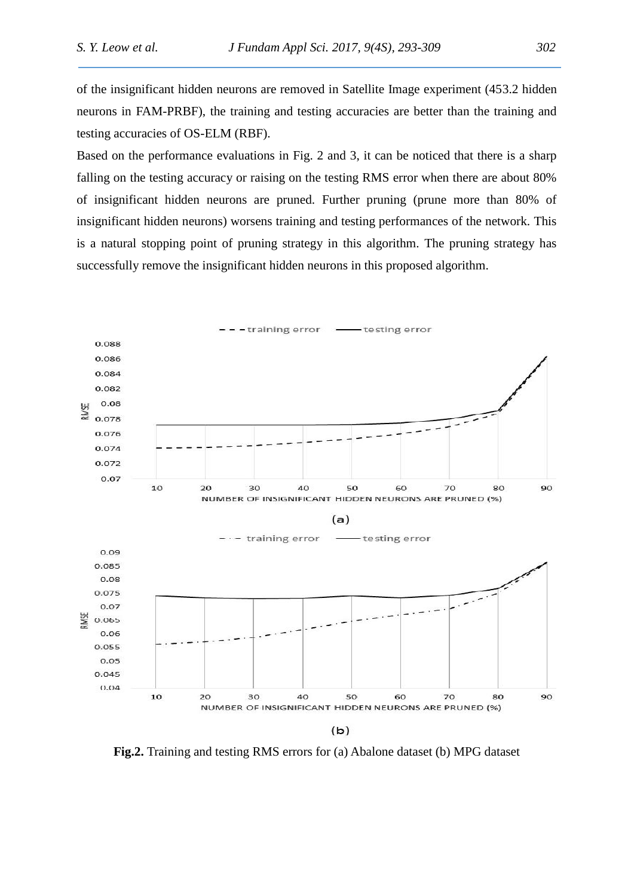of the insignificant hidden neurons are removed in Satellite Image experiment (453.2 hidden neurons in FAM-PRBF), the training and testing accuracies are better than the training and testing accuracies of OS-ELM (RBF).

Based on the performance evaluations in Fig. 2 and 3, it can be noticed that there is a sharp falling on the testing accuracy or raising on the testing RMS error when there are about 80% of insignificant hidden neurons are pruned. Further pruning (prune more than 80% of insignificant hidden neurons) worsens training and testing performances of the network. This is a natural stopping point of pruning strategy in this algorithm. The pruning strategy has successfully remove the insignificant hidden neurons in this proposed algorithm.



**Fig.2.** Training and testing RMS errors for (a) Abalone dataset (b) MPG dataset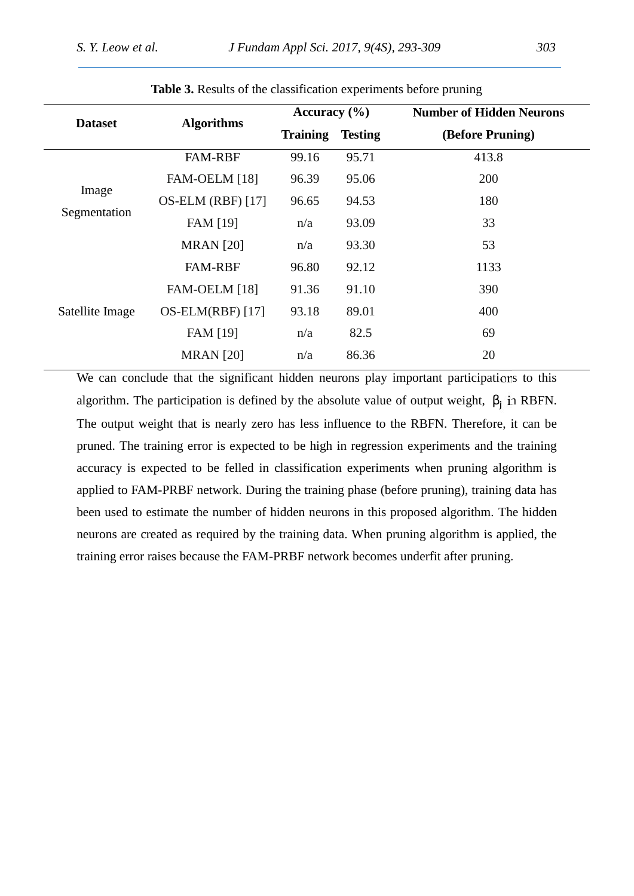| <b>Dataset</b>        | <b>Algorithms</b>   | Accuracy $(\% )$ |                | <b>Number of Hidden Neurons</b> |  |
|-----------------------|---------------------|------------------|----------------|---------------------------------|--|
|                       |                     | <b>Training</b>  | <b>Testing</b> | (Before Pruning)                |  |
| Image<br>Segmentation | <b>FAM-RBF</b>      | 99.16            | 95.71          | 413.8                           |  |
|                       | FAM-OELM [18]       | 96.39            | 95.06          | 200                             |  |
|                       | $OS-ELM (RBF)$ [17] | 96.65            | 94.53          | 180                             |  |
|                       | FAM [19]            | n/a              | 93.09          | 33                              |  |
|                       | <b>MRAN</b> [20]    | n/a              | 93.30          | 53                              |  |
| Satellite Image       | <b>FAM-RBF</b>      | 96.80            | 92.12          | 1133                            |  |
|                       | FAM-OELM [18]       | 91.36            | 91.10          | 390                             |  |
|                       | $OS-ELM(RBF)$ [17]  | 93.18            | 89.01          | 400                             |  |
|                       | FAM [19]            | n/a              | 82.5           | 69                              |  |
|                       | <b>MRAN</b> [20]    | n/a              | 86.36          | 20                              |  |

**Table 3.** Results of the classification experiments before pruning

We can conclude that the significant hidden neurons play important participations to this algorithm. The participation is defined by the absolute value of output weight,  $\mathbf{i}$  in RBFN. The output weight that is nearly zero has less influence to the RBFN. Therefore, it can be pruned. The training error is expected to be high in regression experiments and the training accuracy is expected to be felled in classification experiments when pruning algorithm is applied to FAM-PRBF network. During the training phase (before pruning), training data has been used to estimate the number of hidden neurons in this proposed algorithm. The hidden neurons are created as required by the training data. When pruning algorithm is applied, the training error raises because the FAM-PRBF network becomes underfit after pruning.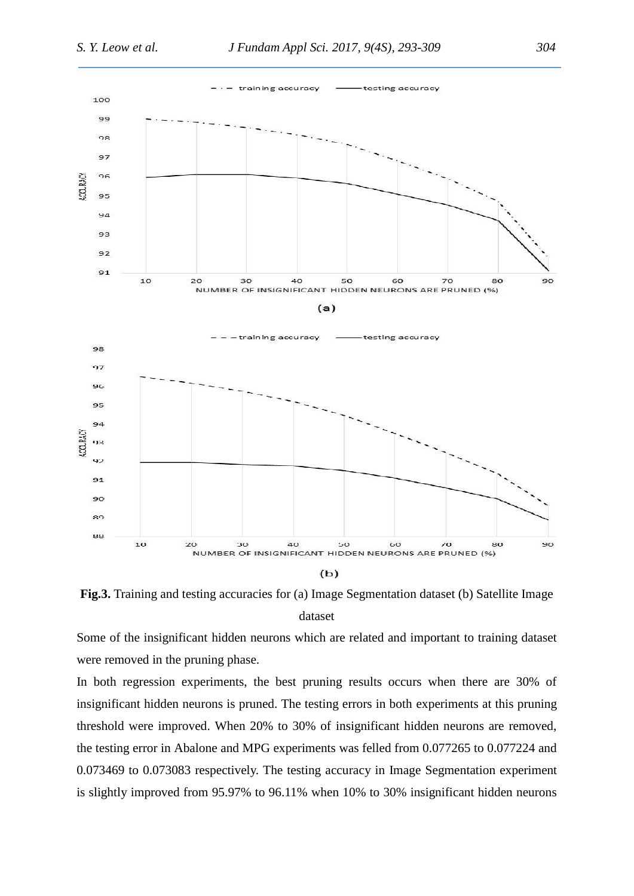

**Fig.3.** Training and testing accuracies for (a) Image Segmentation dataset (b) Satellite Image dataset

Some of the insignificant hidden neurons which are related and important to training dataset were removed in the pruning phase.

In both regression experiments, the best pruning results occurs when there are 30% of insignificant hidden neurons is pruned. The testing errors in both experiments at this pruning threshold were improved. When 20% to 30% of insignificant hidden neurons are removed, the testing error in Abalone and MPG experiments was felled from 0.077265 to 0.077224 and 0.073469 to 0.073083 respectively. The testing accuracy in Image Segmentation experiment is slightly improved from 95.97% to 96.11% when 10% to 30% insignificant hidden neurons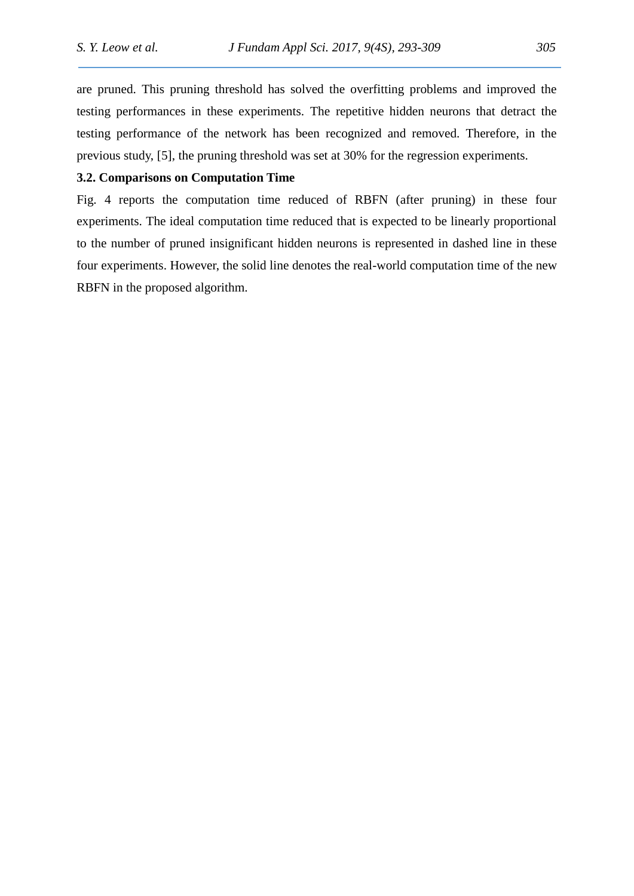are pruned. This pruning threshold has solved the overfitting problems and improved the testing performances in these experiments. The repetitive hidden neurons that detract the testing performance of the network has been recognized and removed. Therefore, in the previous study, [5], the pruning threshold was set at 30% for the regression experiments.

### **3.2. Comparisons on Computation Time**

Fig. 4 reports the computation time reduced of RBFN (after pruning) in these four experiments. The ideal computation time reduced that is expected to be linearly proportional to the number of pruned insignificant hidden neurons is represented in dashed line in these four experiments. However, the solid line denotes the real-world computation time of the new RBFN in the proposed algorithm.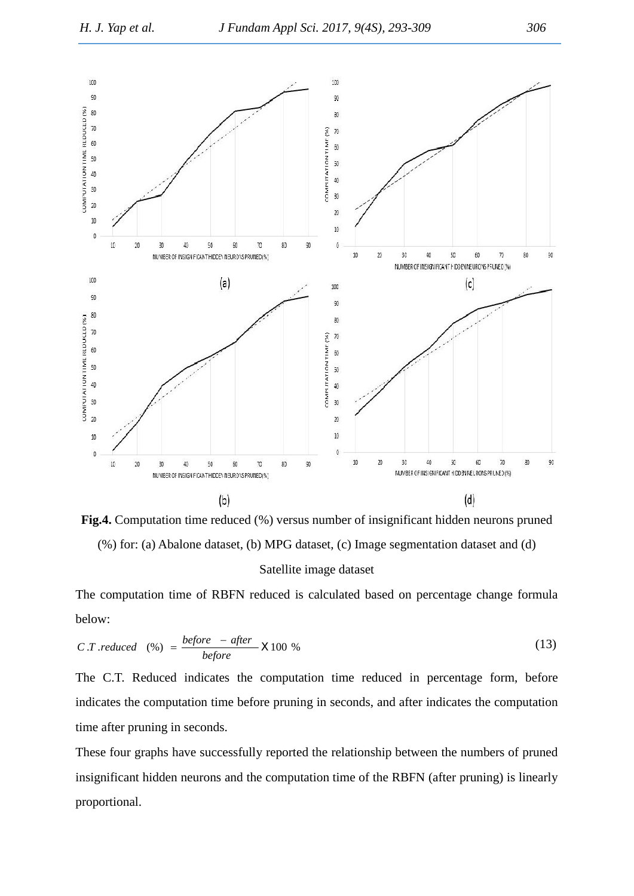

**Fig.4.** Computation time reduced (%) versus number of insignificant hidden neurons pruned (%) for: (a) Abalone dataset, (b) MPG dataset, (c) Image segmentation dataset and (d)

Satellite image dataset

The computation time of RBFN reduced is calculated based on percentage change formula below:

$$
C.T. reduced \quad (*) = \frac{before - after}{before} \quad \text{T} 100 \quad \text{%}
$$

The C.T. Reduced indicates the computation time reduced in percentage form, before indicates the computation time before pruning in seconds, and after indicates the computation time after pruning in seconds.

These four graphs have successfully reported the relationship between the numbers of pruned insignificant hidden neurons and the computation time of the RBFN (after pruning) is linearly proportional.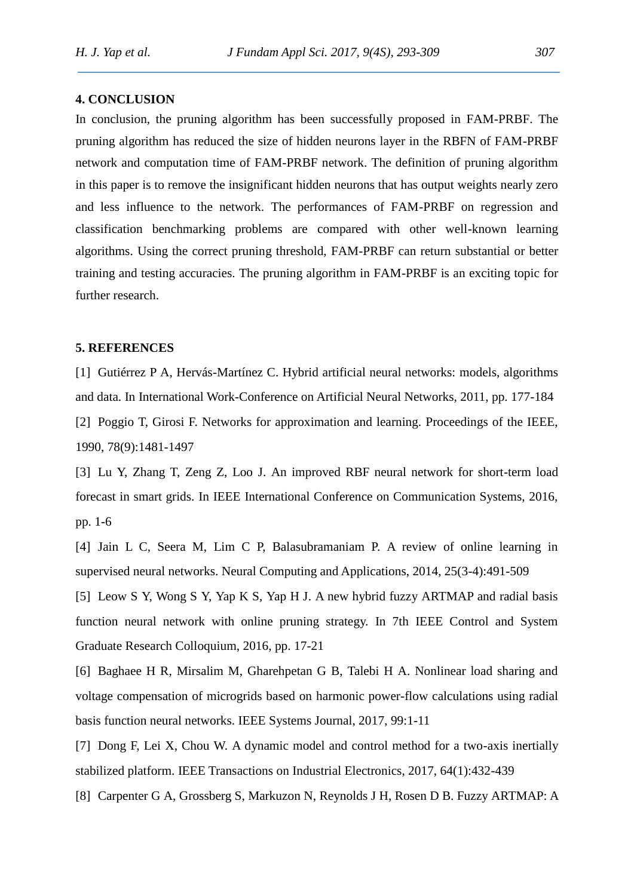### **4. CONCLUSION**

In conclusion, the pruning algorithm has been successfully proposed in FAM-PRBF. The pruning algorithm has reduced the size of hidden neurons layer in the RBFN of FAM-PRBF network and computation time of FAM-PRBF network. The definition of pruning algorithm in this paper is to remove the insignificant hidden neurons that has output weights nearly zero and less influence to the network. The performances of FAM-PRBF on regression and classification benchmarking problems are compared with other well-known learning algorithms. Using the correct pruning threshold, FAM-PRBF can return substantial or better training and testing accuracies. The pruning algorithm in FAM-PRBF is an exciting topic for further research.

#### **5. REFERENCES**

[1] Gutiérrez P A, Hervás-Martínez C. Hybrid artificial neural networks: models, algorithms and data. In International Work-Conference on Artificial Neural Networks, 2011, pp. 177-184 [2] Poggio T, Girosi F. Networks for approximation and learning. Proceedings of the IEEE, 1990, 78(9):1481-1497

[3] Lu Y, Zhang T, Zeng Z, Loo J. An improved RBF neural network for short-term load forecast in smart grids. In IEEE International Conference on Communication Systems, 2016, pp. 1-6

[4] Jain L C, Seera M, Lim C P, Balasubramaniam P. A review of online learning in supervised neural networks. Neural Computing and Applications, 2014, 25(3-4):491-509

[5] Leow S Y, Wong S Y, Yap K S, Yap H J. A new hybrid fuzzy ARTMAP and radial basis function neural network with online pruning strategy. In 7th IEEE Control and System Graduate Research Colloquium, 2016, pp. 17-21

[6] Baghaee H R, Mirsalim M, Gharehpetan G B, Talebi H A. Nonlinear load sharing and voltage compensation of microgrids based on harmonic power-flow calculations using radial basis function neural networks. IEEE Systems Journal, 2017, 99:1-11

[7] Dong F, Lei X, Chou W. A dynamic model and control method for a two-axis inertially stabilized platform. IEEE Transactions on Industrial Electronics, 2017, 64(1):432-439

[8] Carpenter G A, Grossberg S, Markuzon N, Reynolds J H, Rosen D B. Fuzzy ARTMAP: A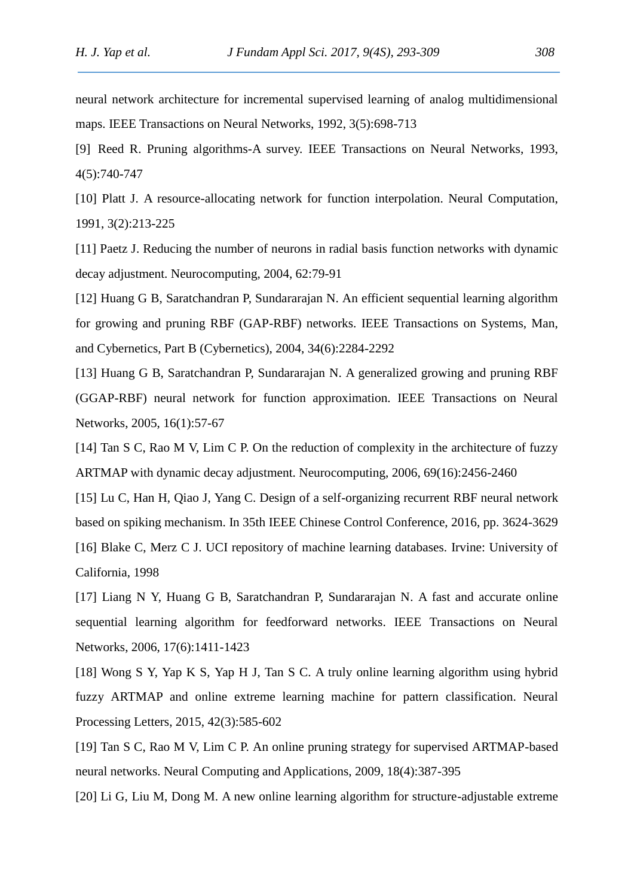neural network architecture for incremental supervised learning of analog multidimensional maps. IEEE Transactions on Neural Networks, 1992, 3(5):698-713

[9] Reed R. Pruning algorithms-A survey. IEEE Transactions on Neural Networks, 1993, 4(5):740-747

[10] Platt J. A resource-allocating network for function interpolation. Neural Computation, 1991, 3(2):213-225

[11] Paetz J. Reducing the number of neurons in radial basis function networks with dynamic decay adjustment. Neurocomputing, 2004, 62:79-91

[12] Huang G B, Saratchandran P, Sundararajan N. An efficient sequential learning algorithm for growing and pruning RBF (GAP-RBF) networks. IEEE Transactions on Systems, Man, and Cybernetics, Part B (Cybernetics), 2004, 34(6):2284-2292

[13] Huang G B, Saratchandran P, Sundararajan N. A generalized growing and pruning RBF (GGAP-RBF) neural network for function approximation. IEEE Transactions on Neural Networks, 2005, 16(1):57-67

[14] Tan S C, Rao M V, Lim C P. On the reduction of complexity in the architecture of fuzzy ARTMAP with dynamic decay adjustment. Neurocomputing, 2006, 69(16):2456-2460

[15] Lu C, Han H, Qiao J, Yang C. Design of a self-organizing recurrent RBF neural network based on spiking mechanism. In 35th IEEE Chinese Control Conference, 2016, pp. 3624-3629

[16] Blake C, Merz C J. UCI repository of machine learning databases. Irvine: University of California, 1998

[17] Liang N Y, Huang G B, Saratchandran P, Sundararajan N. A fast and accurate online sequential learning algorithm for feedforward networks. IEEE Transactions on Neural Networks, 2006, 17(6):1411-1423

[18] Wong S Y, Yap K S, Yap H J, Tan S C. A truly online learning algorithm using hybrid fuzzy ARTMAP and online extreme learning machine for pattern classification. Neural Processing Letters, 2015, 42(3):585-602

[19] Tan S C, Rao M V, Lim C P. An online pruning strategy for supervised ARTMAP-based neural networks. Neural Computing and Applications, 2009, 18(4):387-395

[20] Li G, Liu M, Dong M. A new online learning algorithm for structure-adjustable extreme